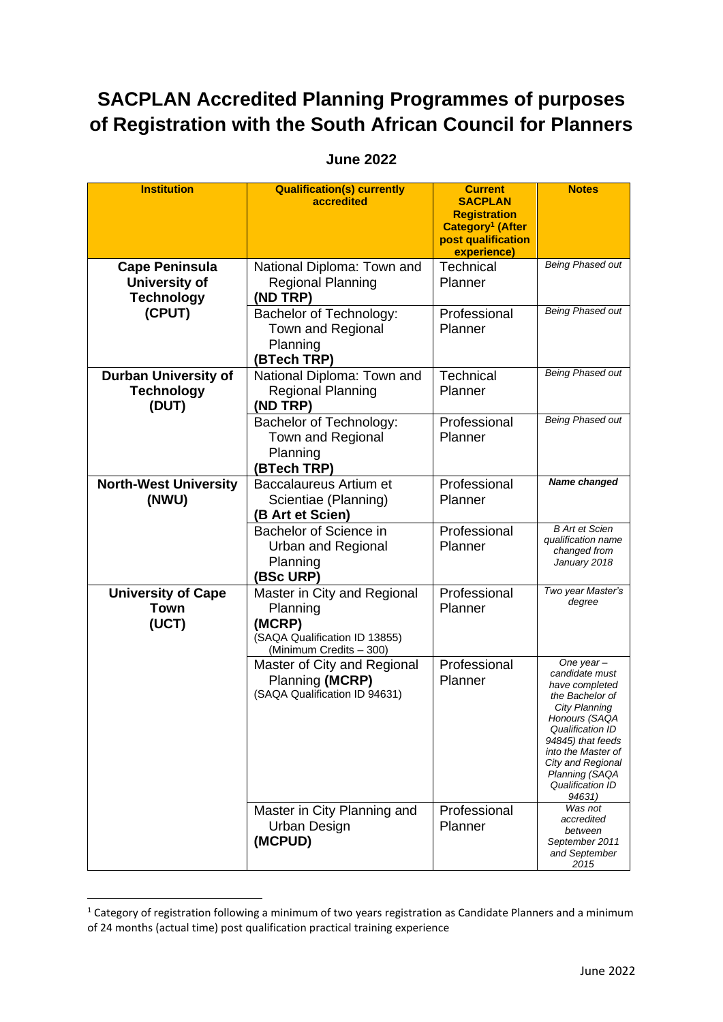## **SACPLAN Accredited Planning Programmes of purposes of Registration with the South African Council for Planners**

## **Institution Qualification(s) currently accredited Current SACPLAN Registration Category<sup>1</sup> (After post qualification experience) Notes Cape Peninsula University of Technology (CPUT)** National Diploma: Town and Regional Planning **(ND TRP) Technical** Planner *Being Phased out* Bachelor of Technology: Town and Regional Planning **(BTech TRP)** Professional Planner *Being Phased out* **Durban University of Technology (DUT)** National Diploma: Town and Regional Planning **(ND TRP) Technical** Planner *Being Phased out* Bachelor of Technology: Town and Regional Planning **(BTech TRP) Professional** Planner *Being Phased out* **North-West University (NWU)** Baccalaureus Artium et Scientiae (Planning) **(B Art et Scien)** Professional Planner *Name changed* Bachelor of Science in Urban and Regional Planning **(BSc URP)** Professional Planner *B Art et Scien qualification name changed from January 2018* **University of Cape Town (UCT)** Master in City and Regional Planning **(MCRP)** (SAQA Qualification ID 13855) (Minimum Credits – 300) Professional Planner *Two year Master's degree* Master of City and Regional Planning **(MCRP)** (SAQA Qualification ID 94631) Professional Planner *One year – candidate must have completed the Bachelor of City Planning Honours (SAQA Qualification ID 94845) that feeds into the Master of City and Regional Planning (SAQA Qualification ID 94631)* Master in City Planning and Urban Design **(MCPUD)** Professional Planner *Was not accredited between September 2011 and September*

## **June 2022**

*2015*

 $1$  Category of registration following a minimum of two years registration as Candidate Planners and a minimum of 24 months (actual time) post qualification practical training experience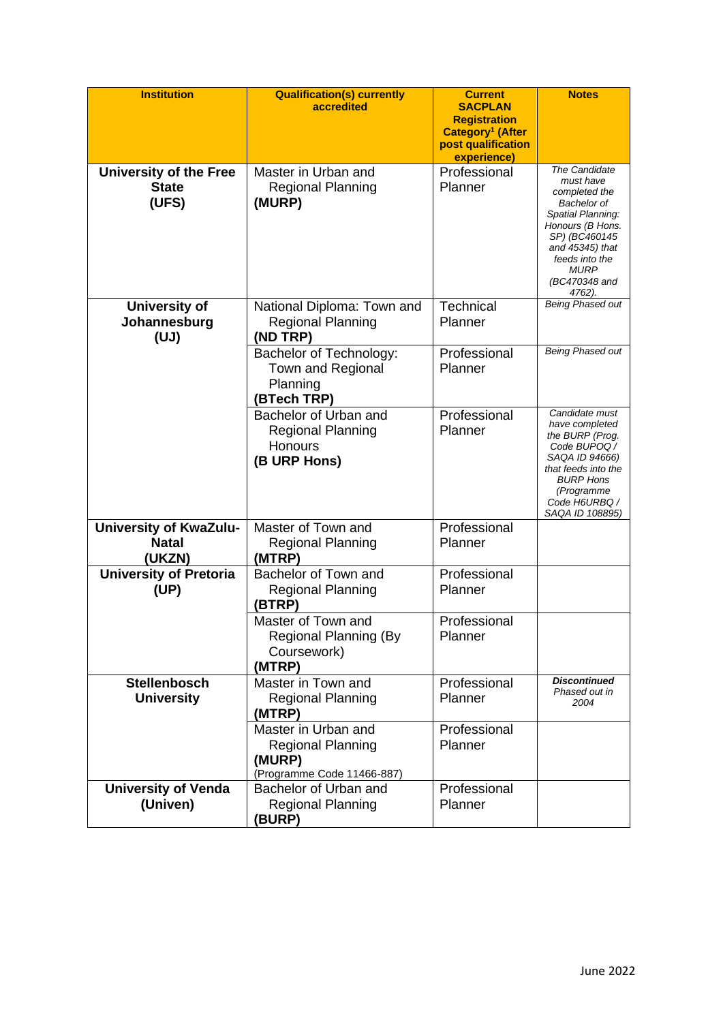| <b>Institution</b>                                      | <b>Qualification(s) currently</b><br>accredited                                         | <b>Current</b><br><b>SACPLAN</b><br><b>Registration</b><br>Category <sup>1</sup> (After<br>post qualification<br>experience) | <b>Notes</b>                                                                                                                                                                                               |
|---------------------------------------------------------|-----------------------------------------------------------------------------------------|------------------------------------------------------------------------------------------------------------------------------|------------------------------------------------------------------------------------------------------------------------------------------------------------------------------------------------------------|
| <b>University of the Free</b><br><b>State</b><br>(UFS)  | Master in Urban and<br><b>Regional Planning</b><br>(MURP)                               | Professional<br>Planner                                                                                                      | <b>The Candidate</b><br>must have<br>completed the<br>Bachelor of<br>Spatial Planning:<br>Honours (B Hons.<br>SP) (BC460145<br>and 45345) that<br>feeds into the<br><b>MURP</b><br>(BC470348 and<br>4762). |
| <b>University of</b><br>Johannesburg<br>(UJ)            | National Diploma: Town and<br><b>Regional Planning</b><br>(ND TRP)                      | <b>Technical</b><br>Planner                                                                                                  | Being Phased out                                                                                                                                                                                           |
|                                                         | Bachelor of Technology:<br>Town and Regional<br>Planning<br>(BTech TRP)                 | Professional<br>Planner                                                                                                      | <b>Being Phased out</b>                                                                                                                                                                                    |
|                                                         | Bachelor of Urban and<br><b>Regional Planning</b><br><b>Honours</b><br>(B URP Hons)     | Professional<br>Planner                                                                                                      | Candidate must<br>have completed<br>the BURP (Prog.<br>Code BUPOQ /<br>SAQA ID 94666)<br>that feeds into the<br><b>BURP Hons</b><br>(Programme<br>Code H6URBQ /<br>SAQA ID 108895)                         |
| <b>University of KwaZulu-</b><br><b>Natal</b><br>(UKZN) | Master of Town and<br><b>Regional Planning</b><br>(MTRP)                                | Professional<br>Planner                                                                                                      |                                                                                                                                                                                                            |
| <b>University of Pretoria</b><br>(UP)                   | Bachelor of Town and<br><b>Regional Planning</b><br>(BTRP)                              | Professional<br>Planner                                                                                                      |                                                                                                                                                                                                            |
|                                                         | Master of Town and<br>Regional Planning (By<br>Coursework)<br>(MTRP)                    | Professional<br>Planner                                                                                                      |                                                                                                                                                                                                            |
| <b>Stellenbosch</b><br><b>University</b>                | Master in Town and<br><b>Regional Planning</b><br>(MTRP)                                | Professional<br>Planner                                                                                                      | <b>Discontinued</b><br>Phased out in<br>2004                                                                                                                                                               |
|                                                         | Master in Urban and<br><b>Regional Planning</b><br>(MURP)<br>(Programme Code 11466-887) | Professional<br>Planner                                                                                                      |                                                                                                                                                                                                            |
| <b>University of Venda</b><br>(Univen)                  | Bachelor of Urban and<br><b>Regional Planning</b><br>(BURP)                             | Professional<br>Planner                                                                                                      |                                                                                                                                                                                                            |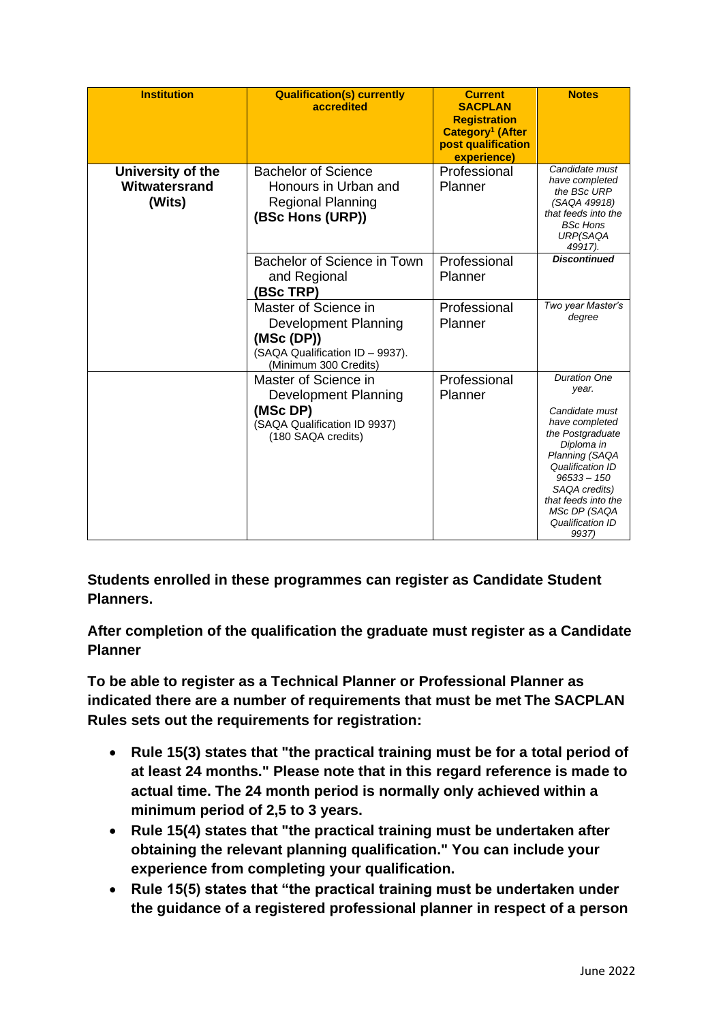| <b>Institution</b>                           | <b>Qualification(s) currently</b><br>accredited                                                                       | <b>Current</b><br><b>SACPLAN</b><br><b>Registration</b><br>Category <sup>1</sup> (After<br>post qualification<br>experience) | <b>Notes</b>                                                                                                                                                                                                                                   |
|----------------------------------------------|-----------------------------------------------------------------------------------------------------------------------|------------------------------------------------------------------------------------------------------------------------------|------------------------------------------------------------------------------------------------------------------------------------------------------------------------------------------------------------------------------------------------|
| University of the<br>Witwatersrand<br>(Wits) | <b>Bachelor of Science</b><br>Honours in Urban and<br><b>Regional Planning</b><br>(BSc Hons (URP))                    | Professional<br>Planner                                                                                                      | Candidate must<br>have completed<br>the BSc URP<br>(SAQA 49918)<br>that feeds into the<br><b>BSc Hons</b><br>URP(SAQA<br>49917).                                                                                                               |
|                                              | Bachelor of Science in Town<br>and Regional<br>(BSc TRP)                                                              | Professional<br>Planner                                                                                                      | <b>Discontinued</b>                                                                                                                                                                                                                            |
|                                              | Master of Science in<br>Development Planning<br>(MSc(DP))<br>(SAQA Qualification ID - 9937).<br>(Minimum 300 Credits) | Professional<br>Planner                                                                                                      | Two year Master's<br>degree                                                                                                                                                                                                                    |
|                                              | Master of Science in<br>Development Planning<br>(MSc DP)<br>(SAQA Qualification ID 9937)<br>(180 SAQA credits)        | Professional<br>Planner                                                                                                      | <b>Duration One</b><br>year.<br>Candidate must<br>have completed<br>the Postgraduate<br>Diploma in<br>Planning (SAQA<br>Qualification ID<br>$96533 - 150$<br>SAQA credits)<br>that feeds into the<br>MSc DP (SAQA<br>Qualification ID<br>9937) |

**Students enrolled in these programmes can register as Candidate Student Planners.**

**After completion of the qualification the graduate must register as a Candidate Planner**

**To be able to register as a Technical Planner or Professional Planner as indicated there are a number of requirements that must be met The SACPLAN Rules sets out the requirements for registration:**

- **Rule 15(3) states that "the practical training must be for a total period of at least 24 months." Please note that in this regard reference is made to actual time. The 24 month period is normally only achieved within a minimum period of 2,5 to 3 years.**
- **Rule 15(4) states that "the practical training must be undertaken after obtaining the relevant planning qualification." You can include your experience from completing your qualification.**
- **Rule 15(5) states that "the practical training must be undertaken under the guidance of a registered professional planner in respect of a person**